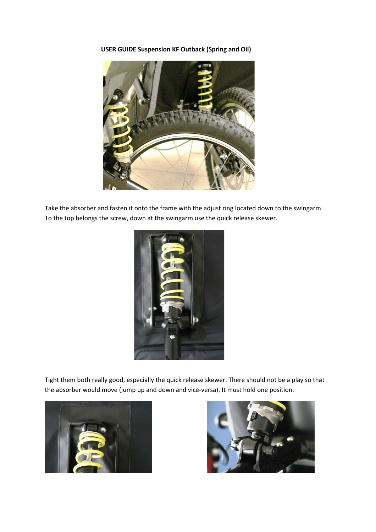**USER GUIDE Suspension KF Outback (Spring and Oil)** 



Take the absorber and fasten it onto the frame with the adjust ring located down to the swingarm. To the top belongs the screw, down at the swingarm use the quick release skewer.



Tight them both really good, especially the quick release skewer. There should not be a play so that the absorber would move (jump up and down and vice-versa). It must hold one position.



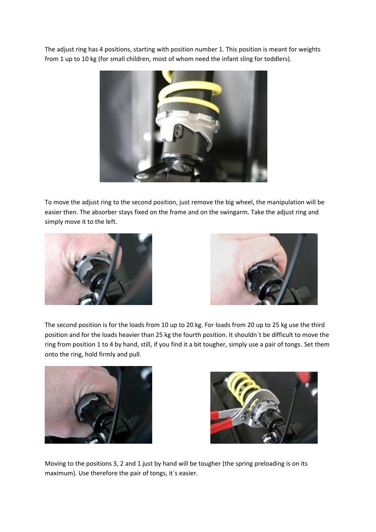The adjust ring has 4 positions, starting with position number 1. This position is meant for weights from 1 up to 10 kg (for small children, most of whom need the infant sling for toddlers).



To move the adjust ring to the second position, just remove the big wheel, the manipulation will be easier then. The absorber stays fixed on the frame and on the swingarm. Take the adjust ring and simply move it to the left.





The second position is for the loads from 10 up to 20 kg. For loads from 20 up to 25 kg use the third position and for the loads heavier than 25 kg the fourth position. It shouldn´t be difficult to move the ring from position 1 to 4 by hand, still, if you find it a bit tougher, simply use a pair of tongs. Set them onto the ring, hold firmly and pull.





Moving to the positions 3, 2 and 1 just by hand will be tougher (the spring preloading is on its maximum). Use therefore the pair of tongs, it´s easier.